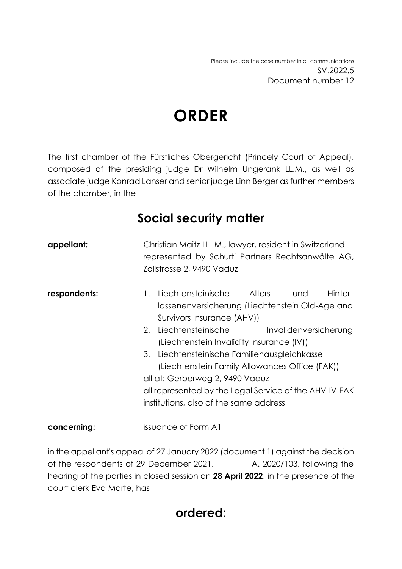# **ORDER**

The first chamber of the Fürstliches Obergericht (Princely Court of Appeal), composed of the presiding judge Dr Wilhelm Ungerank LL.M., as well as associate judge Konrad Lanser and senior judge Linn Berger as further members of the chamber, in the

### **Social security matter**

| appellant:   | Christian Maitz LL. M., lawyer, resident in Switzerland<br>represented by Schurti Partners Rechtsanwälte AG,<br>Zollstrasse 2, 9490 Vaduz                                                                                                                                                                                                                                                                                                                                |
|--------------|--------------------------------------------------------------------------------------------------------------------------------------------------------------------------------------------------------------------------------------------------------------------------------------------------------------------------------------------------------------------------------------------------------------------------------------------------------------------------|
| respondents: | Liechtensteinische Alters- und<br>Hinter-<br>1.<br>lassenenversicherung (Liechtenstein Old-Age and<br>Survivors Insurance (AHV))<br>2. Liechtensteinische<br>Invalidenversicherung<br>(Liechtenstein Invalidity Insurance (IV))<br>3. Liechtensteinische Familienausgleichkasse<br>(Liechtenstein Family Allowances Office (FAK))<br>all at: Gerberweg 2, 9490 Vaduz<br>all represented by the Legal Service of the AHV-IV-FAK<br>institutions, also of the same address |
| concerning:  | issuance of Form A1                                                                                                                                                                                                                                                                                                                                                                                                                                                      |

in the appellant's appeal of 27 January 2022 (document 1) against the decision of the respondents of 29 December 2021, A. 2020/103, following the hearing of the parties in closed session on **28 April 2022**, in the presence of the court clerk Eva Marte, has

### **ordered:**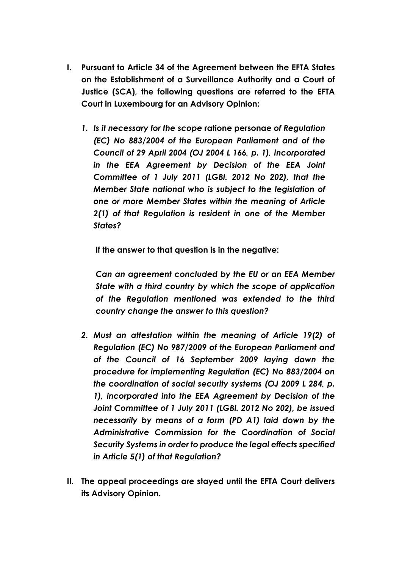- **I. Pursuant to Article 34 of the Agreement between the EFTA States on the Establishment of a Surveillance Authority and a Court of Justice (SCA), the following questions are referred to the EFTA Court in Luxembourg for an Advisory Opinion:**
	- *1. Is it necessary for the scope* **ratione personae** *of Regulation (EC) No 883/2004 of the European Parliament and of the Council of 29 April 2004 (OJ 2004 L 166, p. 1), incorporated in the EEA Agreement by Decision of the EEA Joint Committee of 1 July 2011 (LGBl. 2012 No 202), that the Member State national who is subject to the legislation of one or more Member States within the meaning of Article 2(1) of that Regulation is resident in one of the Member States?*

**If the answer to that question is in the negative:**

*Can an agreement concluded by the EU or an EEA Member State with a third country by which the scope of application of the Regulation mentioned was extended to the third country change the answer to this question?*

- *2. Must an attestation within the meaning of Article 19(2) of Regulation (EC) No 987/2009 of the European Parliament and of the Council of 16 September 2009 laying down the procedure for implementing Regulation (EC) No 883/2004 on the coordination of social security systems (OJ 2009 L 284, p. 1), incorporated into the EEA Agreement by Decision of the Joint Committee of 1 July 2011 (LGBl. 2012 No 202), be issued necessarily by means of a form (PD A1) laid down by the Administrative Commission for the Coordination of Social Security Systems in order to produce the legal effects specified in Article 5(1) of that Regulation?*
- **II. The appeal proceedings are stayed until the EFTA Court delivers its Advisory Opinion.**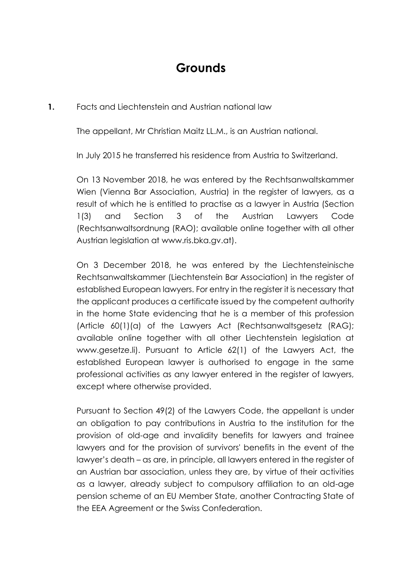# **Grounds**

#### **1.** Facts and Liechtenstein and Austrian national law

The appellant, Mr Christian Maitz LL.M., is an Austrian national.

In July 2015 he transferred his residence from Austria to Switzerland.

On 13 November 2018, he was entered by the Rechtsanwaltskammer Wien (Vienna Bar Association, Austria) in the register of lawyers, as a result of which he is entitled to practise as a lawyer in Austria (Section 1(3) and Section 3 of the Austrian Lawyers Code (Rechtsanwaltsordnung (RAO); available online together with all other Austrian legislation at www.ris.bka.gv.at).

On 3 December 2018, he was entered by the Liechtensteinische Rechtsanwaltskammer (Liechtenstein Bar Association) in the register of established European lawyers. For entry in the register it is necessary that the applicant produces a certificate issued by the competent authority in the home State evidencing that he is a member of this profession (Article 60(1)(a) of the Lawyers Act (Rechtsanwaltsgesetz (RAG); available online together with all other Liechtenstein legislation at www.gesetze.li). Pursuant to Article 62(1) of the Lawyers Act, the established European lawyer is authorised to engage in the same professional activities as any lawyer entered in the register of lawyers, except where otherwise provided.

Pursuant to Section 49(2) of the Lawyers Code, the appellant is under an obligation to pay contributions in Austria to the institution for the provision of old-age and invalidity benefits for lawyers and trainee lawyers and for the provision of survivors' benefits in the event of the lawyer's death – as are, in principle, all lawyers entered in the register of an Austrian bar association, unless they are, by virtue of their activities as a lawyer, already subject to compulsory affiliation to an old-age pension scheme of an EU Member State, another Contracting State of the EEA Agreement or the Swiss Confederation.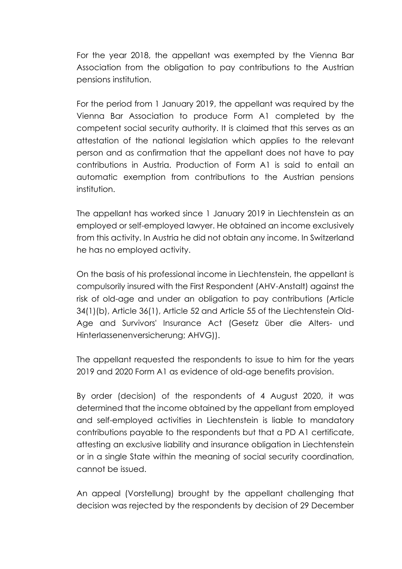For the year 2018, the appellant was exempted by the Vienna Bar Association from the obligation to pay contributions to the Austrian pensions institution.

For the period from 1 January 2019, the appellant was required by the Vienna Bar Association to produce Form A1 completed by the competent social security authority. It is claimed that this serves as an attestation of the national legislation which applies to the relevant person and as confirmation that the appellant does not have to pay contributions in Austria. Production of Form A1 is said to entail an automatic exemption from contributions to the Austrian pensions institution.

The appellant has worked since 1 January 2019 in Liechtenstein as an employed or self-employed lawyer. He obtained an income exclusively from this activity. In Austria he did not obtain any income. In Switzerland he has no employed activity.

On the basis of his professional income in Liechtenstein, the appellant is compulsorily insured with the First Respondent (AHV-Anstalt) against the risk of old-age and under an obligation to pay contributions (Article 34(1)(b), Article 36(1), Article 52 and Article 55 of the Liechtenstein Old-Age and Survivors' Insurance Act (Gesetz über die Alters- und Hinterlassenenversicherung; AHVG)).

The appellant requested the respondents to issue to him for the years 2019 and 2020 Form A1 as evidence of old-age benefits provision.

By order (decision) of the respondents of 4 August 2020, it was determined that the income obtained by the appellant from employed and self-employed activities in Liechtenstein is liable to mandatory contributions payable to the respondents but that a PD A1 certificate, attesting an exclusive liability and insurance obligation in Liechtenstein or in a single State within the meaning of social security coordination, cannot be issued.

An appeal (Vorstellung) brought by the appellant challenging that decision was rejected by the respondents by decision of 29 December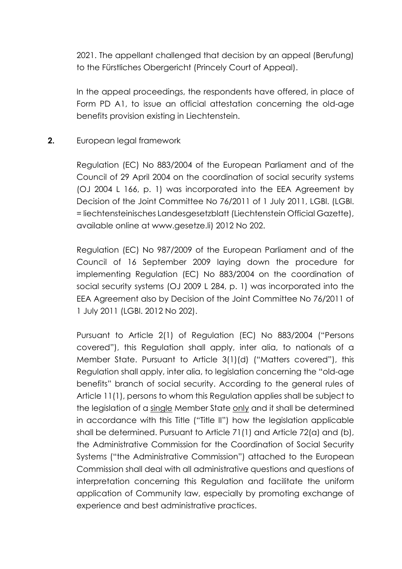2021. The appellant challenged that decision by an appeal (Berufung) to the Fürstliches Obergericht (Princely Court of Appeal).

In the appeal proceedings, the respondents have offered, in place of Form PD A1, to issue an official attestation concerning the old-age benefits provision existing in Liechtenstein.

#### **2.** European legal framework

Regulation (EC) No 883/2004 of the European Parliament and of the Council of 29 April 2004 on the coordination of social security systems (OJ 2004 L 166, p. 1) was incorporated into the EEA Agreement by Decision of the Joint Committee No 76/2011 of 1 July 2011, LGBl. (LGBl. = liechtensteinisches Landesgesetzblatt (Liechtenstein Official Gazette), available online at www.gesetze.li) 2012 No 202.

Regulation (EC) No 987/2009 of the European Parliament and of the Council of 16 September 2009 laying down the procedure for implementing Regulation (EC) No 883/2004 on the coordination of social security systems (OJ 2009 L 284, p. 1) was incorporated into the EEA Agreement also by Decision of the Joint Committee No 76/2011 of 1 July 2011 (LGBl. 2012 No 202).

Pursuant to Article 2(1) of Regulation (EC) No 883/2004 ("Persons covered"), this Regulation shall apply, inter alia, to nationals of a Member State. Pursuant to Article 3(1)(d) ("Matters covered"), this Regulation shall apply, inter alia, to legislation concerning the "old-age benefits" branch of social security. According to the general rules of Article 11(1), persons to whom this Regulation applies shall be subject to the legislation of a single Member State only and it shall be determined in accordance with this Title ("Title II") how the legislation applicable shall be determined. Pursuant to Article 71(1) and Article 72(a) and (b), the Administrative Commission for the Coordination of Social Security Systems ("the Administrative Commission") attached to the European Commission shall deal with all administrative questions and questions of interpretation concerning this Regulation and facilitate the uniform application of Community law, especially by promoting exchange of experience and best administrative practices.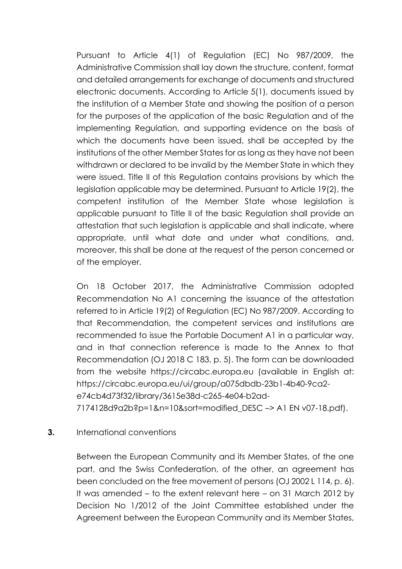Pursuant to Article 4(1) of Regulation (EC) No 987/2009, the Administrative Commission shall lay down the structure, content, format and detailed arrangements for exchange of documents and structured electronic documents. According to Article 5(1), documents issued by the institution of a Member State and showing the position of a person for the purposes of the application of the basic Regulation and of the implementing Regulation, and supporting evidence on the basis of which the documents have been issued, shall be accepted by the institutions of the other Member States for as long as they have not been withdrawn or declared to be invalid by the Member State in which they were issued. Title II of this Regulation contains provisions by which the legislation applicable may be determined. Pursuant to Article 19(2), the competent institution of the Member State whose legislation is applicable pursuant to Title II of the basic Regulation shall provide an attestation that such legislation is applicable and shall indicate, where appropriate, until what date and under what conditions, and, moreover, this shall be done at the request of the person concerned or of the employer.

On 18 October 2017, the Administrative Commission adopted Recommendation No A1 concerning the issuance of the attestation referred to in Article 19(2) of Regulation (EC) No 987/2009. According to that Recommendation, the competent services and institutions are recommended to issue the Portable Document A1 in a particular way, and in that connection reference is made to the Annex to that Recommendation (OJ 2018 C 183, p. 5). The form can be downloaded from the website https://circabc.europa.eu (available in English at: https://circabc.europa.eu/ui/group/a075dbdb-23b1-4b40-9ca2 e74cb4d73f32/library/3615e38d-c265-4e04-b2ad-

# 7174128d9a2b?p=1&n=10&sort=modified\_DESC –> A1 EN v07-18.pdf).

#### **3.** International conventions

Between the European Community and its Member States, of the one part, and the Swiss Confederation, of the other, an agreement has been concluded on the free movement of persons (OJ 2002 L 114, p. 6). It was amended – to the extent relevant here – on 31 March 2012 by Decision No 1/2012 of the Joint Committee established under the Agreement between the European Community and its Member States,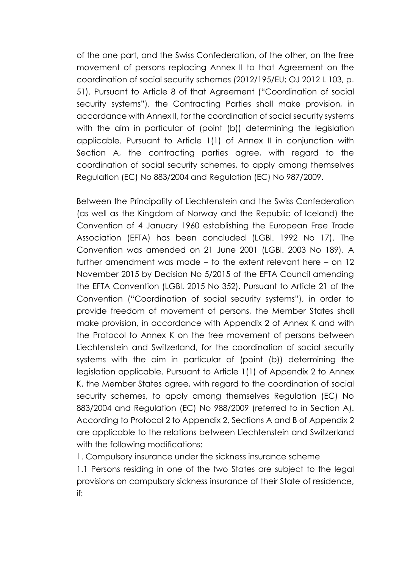of the one part, and the Swiss Confederation, of the other, on the free movement of persons replacing Annex II to that Agreement on the coordination of social security schemes (2012/195/EU; OJ 2012 L 103, p. 51). Pursuant to Article 8 of that Agreement ("Coordination of social security systems"), the Contracting Parties shall make provision, in accordance with Annex II, for the coordination of social security systems with the aim in particular of (point (b)) determining the legislation applicable. Pursuant to Article 1(1) of Annex II in conjunction with Section A, the contracting parties agree, with regard to the coordination of social security schemes, to apply among themselves Regulation (EC) No 883/2004 and Regulation (EC) No 987/2009.

Between the Principality of Liechtenstein and the Swiss Confederation (as well as the Kingdom of Norway and the Republic of Iceland) the Convention of 4 January 1960 establishing the European Free Trade Association (EFTA) has been concluded (LGBl. 1992 No 17). The Convention was amended on 21 June 2001 (LGBl. 2003 No 189). A further amendment was made – to the extent relevant here – on 12 November 2015 by Decision No 5/2015 of the EFTA Council amending the EFTA Convention (LGBl. 2015 No 352). Pursuant to Article 21 of the Convention ("Coordination of social security systems"), in order to provide freedom of movement of persons, the Member States shall make provision, in accordance with Appendix 2 of Annex K and with the Protocol to Annex K on the free movement of persons between Liechtenstein and Switzerland, for the coordination of social security systems with the aim in particular of (point (b)) determining the legislation applicable. Pursuant to Article 1(1) of Appendix 2 to Annex K, the Member States agree, with regard to the coordination of social security schemes, to apply among themselves Regulation (EC) No 883/2004 and Regulation (EC) No 988/2009 (referred to in Section A). According to Protocol 2 to Appendix 2, Sections A and B of Appendix 2 are applicable to the relations between Liechtenstein and Switzerland with the following modifications:

1. Compulsory insurance under the sickness insurance scheme

1.1 Persons residing in one of the two States are subject to the legal provisions on compulsory sickness insurance of their State of residence, if: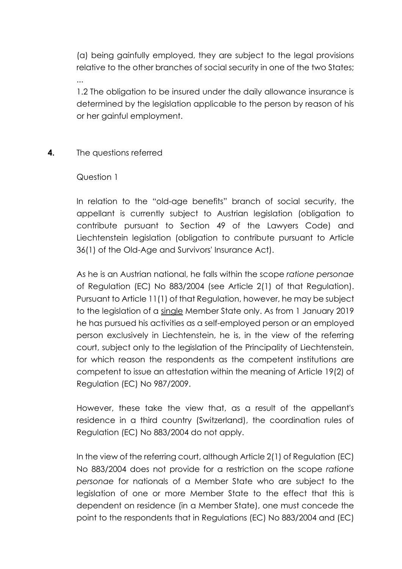(a) being gainfully employed, they are subject to the legal provisions relative to the other branches of social security in one of the two States;

1.2 The obligation to be insured under the daily allowance insurance is determined by the legislation applicable to the person by reason of his or her gainful employment.

#### **4.** The questions referred

#### Question 1

...

In relation to the "old-age benefits" branch of social security, the appellant is currently subject to Austrian legislation (obligation to contribute pursuant to Section 49 of the Lawyers Code) and Liechtenstein legislation (obligation to contribute pursuant to Article 36(1) of the Old-Age and Survivors' Insurance Act).

As he is an Austrian national, he falls within the scope *ratione personae* of Regulation (EC) No 883/2004 (see Article 2(1) of that Regulation). Pursuant to Article 11(1) of that Regulation, however, he may be subject to the legislation of a single Member State only. As from 1 January 2019 he has pursued his activities as a self-employed person or an employed person exclusively in Liechtenstein, he is, in the view of the referring court, subject only to the legislation of the Principality of Liechtenstein, for which reason the respondents as the competent institutions are competent to issue an attestation within the meaning of Article 19(2) of Regulation (EC) No 987/2009.

However, these take the view that, as a result of the appellant's residence in a third country (Switzerland), the coordination rules of Regulation (EC) No 883/2004 do not apply.

In the view of the referring court, although Article 2(1) of Regulation (EC) No 883/2004 does not provide for a restriction on the scope *ratione personae* for nationals of a Member State who are subject to the legislation of one or more Member State to the effect that this is dependent on residence (in a Member State), one must concede the point to the respondents that in Regulations (EC) No 883/2004 and (EC)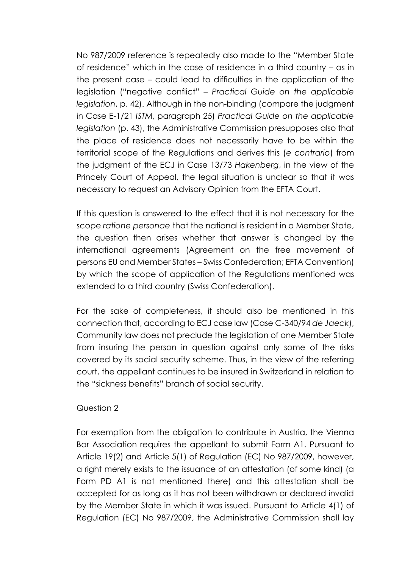No 987/2009 reference is repeatedly also made to the "Member State of residence" which in the case of residence in a third country – as in the present case – could lead to difficulties in the application of the legislation ("negative conflict" – *Practical Guide on the applicable legislation*, p. 42). Although in the non-binding (compare the judgment in Case E-1/21 *ISTM*, paragraph 25) *Practical Guide on the applicable legislation* (p. 43), the Administrative Commission presupposes also that the place of residence does not necessarily have to be within the territorial scope of the Regulations and derives this (*e contrario*) from the judgment of the ECJ in Case 13/73 *Hakenberg*, in the view of the Princely Court of Appeal, the legal situation is unclear so that it was necessary to request an Advisory Opinion from the EFTA Court.

If this question is answered to the effect that it is not necessary for the scope *ratione personae* that the national is resident in a Member State, the question then arises whether that answer is changed by the international agreements (Agreement on the free movement of persons EU and Member States – Swiss Confederation; EFTA Convention) by which the scope of application of the Regulations mentioned was extended to a third country (Swiss Confederation).

For the sake of completeness, it should also be mentioned in this connection that, according to ECJ case law (Case C-340/94 *de Jaeck*), Community law does not preclude the legislation of one Member State from insuring the person in question against only some of the risks covered by its social security scheme. Thus, in the view of the referring court, the appellant continues to be insured in Switzerland in relation to the "sickness benefits" branch of social security.

#### Question 2

For exemption from the obligation to contribute in Austria, the Vienna Bar Association requires the appellant to submit Form A1. Pursuant to Article 19(2) and Article 5(1) of Regulation (EC) No 987/2009, however, a right merely exists to the issuance of an attestation (of some kind) (a Form PD A1 is not mentioned there) and this attestation shall be accepted for as long as it has not been withdrawn or declared invalid by the Member State in which it was issued. Pursuant to Article 4(1) of Regulation (EC) No 987/2009, the Administrative Commission shall lay